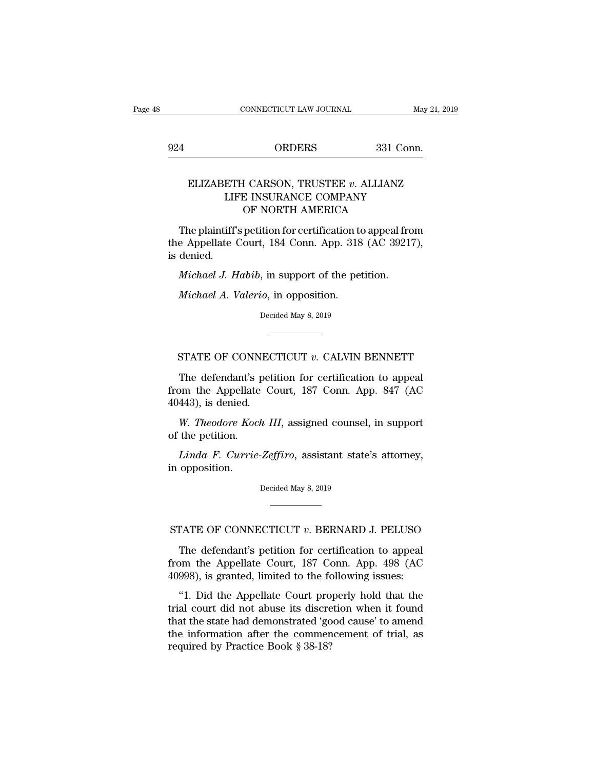# EXECUTE CONNECTICUT LAW JOURNAL May 21, 20<br>924 ORDERS 331 Conn.

### CONNECTICUT LAW JOURNAL May 21, 2019<br>
ORDERS 331 Conn.<br>
ELIZABETH CARSON, TRUSTEE *v*. ALLIANZ<br>
LIFE INSURANCE COMPANY<br>
OF NORTH AMERICA  $\begin{tabular}{ll} \multicolumn{2}{l}{{\bf ORDERS}} & \multicolumn{2}{l}{\bf 331 Conn.} \end{tabular}$  <br> ETH CARSON, TRUSTEE  $v.$  ALLIANZ LIFE INSURANCE COMPANY OF NORTH AMERICA ORDERS 331 Cor<br>
I CARSON, TRUSTEE v. ALLIANZ<br>
E INSURANCE COMPANY<br>
OF NORTH AMERICA<br>
petition for certification to appeal fro  $\begin{array}{ll}\n\text{GLIZABETH CARSON, TRUSTEE } v. \text{ ALLIANZ} \\
\text{LIFE INSURANCE COMPANY} \text{OF NORTH AMERICA}\n\end{array}$ <br>
The plaintiff's petition for certification to appeal from e Appellate Court, 184 Conn. App. 318 (AC 39217), donied

ELIZABETH CARSON, TRUSTEE  $v$ . ALLIANZ<br>LIFE INSURANCE COMPANY<br>OF NORTH AMERICA<br>The plaintiff's petition for certification to appeal from<br>the Appellate Court, 184 Conn. App. 318 (AC 39217),<br>is denied. ELIZABET<br>LIF<br>The plaintiff<br>the Appellate<br>is denied.<br>*Michael J. H* LIFE INSURANCE COMPANY<br>
OF NORTH AMERICA<br>
The plaintiff's petition for certification to appeal frc<br>
e Appellate Court, 184 Conn. App. 318 (AC 3921'<br>
denied.<br> *Michael J. Habib*, in support of the petition.<br> *Michael A. Val* The plaintiff's petition for certification to<br>
e Appellate Court, 184 Conn. App. 318<br>
denied.<br> *Michael J. Habib*, in support of the petition.<br> *Michael A. Valerio*, in opposition.<br>
Decided May 8, 2019

Michael J. Habib, in support of the petition.<br>Michael A. Valerio, in opposition.<br>Decided May 8, 2019

Michael A. Valerio, in support of the petition.<br>Michael A. Valerio, in opposition.<br>Decided May 8, 2019<br>STATE OF CONNECTICUT *v*. CALVIN BENNETT<br>The defendant's petition for certification to appeal Decided May 8, 2019<br>Decided May 8, 2019<br>TATE OF CONNECTICUT v. CALVIN BENNETT<br>The defendant's petition for certification to appeal<br>pm the Appellate Court, 187 Conn. App. 847 (AC<br> $(443)$  is donied from the Appellate Court, 187 Conn. App. 847 (AC -<br>
STATE OF CONNEC<br>
The defendant's pet<br>
from the Appellate C<br>
40443), is denied.<br>
W. Theodore Koch L STATE OF CONNECTICUT *v*. CALVIN BENNETT<br>The defendant's petition for certification to appeal<br>om the Appellate Court, 187 Conn. App. 847 (AC<br>443), is denied.<br>*W. Theodore Koch III*, assigned counsel, in support<br>the petitio STATE OF CONN<br>The defendant's prom the Appellate<br>40443), is denied.<br>W. Theodore Koch<br>of the petition.<br>Linda F. Currie-The defendant's petition for certification to appeal<br> *Linda F. Currie-Zeffiro*, assigned counsel, in support<br> *Linda F. Currie-Zeffiro*, assistant state's attorney,<br>
opposition.

from the Appellate<br>40443), is denied.<br>W. Theodore Koo<br>of the petition.<br>Linda F. Currie<br>in opposition.

Linda F. Currie-Zeffiro, assistant state's attorney,<br>opposition.<br>Decided May 8, 2019 Linda F. Currie-Zeffiro, assistant state's attorney,<br>in opposition.<br>Decided May 8, 2019<br>STATE OF CONNECTICUT *v*. BERNARD J. PELUSO<br>The defendant's petition for certification to appeal

Decided May 8, 2019<br>
TATE OF CONNECTICUT v. BERNARD J. PELUSO<br>
The defendant's petition for certification to appeal<br>
om the Appellate Court, 187 Conn. App. 498 (AC<br>
008) is granted limited to the following issues: from the Appellate Court, 187 Conn. App. 498 (AC STATE OF CONNECTICUT v. BERNARD J. PELUSO<br>The defendant's petition for certification to appeal<br>from the Appellate Court, 187 Conn. App. 498 (AC<br>40998), is granted, limited to the following issues:<br>"1. Did the Appellate Cou TATE OF CONNECTICUT  $v$ . BERNARD J. PELUSO<br>The defendant's petition for certification to appeal<br>om the Appellate Court, 187 Conn. App. 498 (AC<br>998), is granted, limited to the following issues:<br>"1. Did the Appellate Court

STATE OF CONNECTICUT  $v$ . BERNARD J. PELUSO<br>The defendant's petition for certification to appeal<br>from the Appellate Court, 187 Conn. App. 498 (AC<br>40998), is granted, limited to the following issues:<br>"1. Did the Appellate The defendant's petition for certification to appeal<br>from the Appellate Court, 187 Conn. App. 498 (AC<br>40998), is granted, limited to the following issues:<br>"1. Did the Appellate Court properly hold that the<br>trial court did The detendants pediator for ecclineation to appear<br>from the Appellate Court, 187 Conn. App. 498 (AC<br>40998), is granted, limited to the following issues:<br>"1. Did the Appellate Court properly hold that the<br>trial court did no from the Appellate Court, 187 Conn. App. 498 (AC 40998), is granted, limited to the following issues:<br>"1. Did the Appellate Court properly hold that the trial court did not abuse its discretion when it found that the stat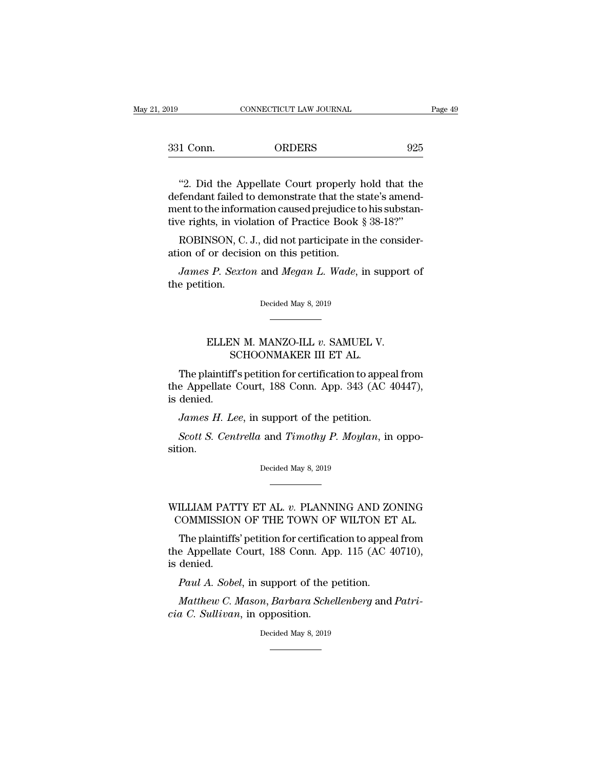| CONNECTICUT LAW JOURNAL | Page 49 |
|-------------------------|---------|
| <b>ORDERS</b>           | 925     |
|                         |         |

CONNECTICUT LAW JOURNAL Page 49<br>
1 Conn. ORDERS 925<br>
"2. Did the Appellate Court properly hold that the<br>
fendant failed to demonstrate that the state's amend-<br>
ant to the information caused projudice to his substant  $\begin{array}{ll} \text{331 Conn.} \text{ORDERS} \text{925} \ \text{``2. Did the Appellate Court properly hold that the defendant failed to demonstrate that the state's amendment to the information caused prejudice to his substance.} \end{array}$ 331 Conn. ORDERS 925<br>
"2. Did the Appellate Court properly hold that the<br>
defendant failed to demonstrate that the state's amend-<br>
ment to the information caused prejudice to his substan-<br>
tive rights, in violation of Prac 925<br>
The Magnetice Court properly hold that the<br>
defendant failed to demonstrate that the state's amend-<br>
ment to the information caused prejudice to his substantive rights, in violation of Practice Book § 38-18?''<br>
ROBINS "2. Did the Appellate Court properly hold that the fendant failed to demonstrate that the state's amendent to the information caused prejudice to his substance rights, in violation of Practice Book § 38-18?"<br>ROBINSON, C. J "2. Did the Appellate Court properly be defendant failed to demonstrate that the st<br>ment to the information caused prejudice to<br>tive rights, in violation of Practice Book {<br>ROBINSON, C. J., did not participate in<br>ation of fendant failed to demonstrate that the state's amendent to the information caused prejudice to his substance rights, in violation of Practice Book § 38-18?"<br>*ROBINSON*, C. J., did not participate in the considerion of or d ment to the inform<br>tive rights, in viol<br>ROBINSON, C.<br>ation of or decisi<br>James P. Sexta<br>the petition.

ROBINSON, C. J., did not participate in the consideration of or decision on this petition.<br>James P. Sexton and Megan L. Wade, in support of the petition.<br>Decided May 8, 2019 ELLEN M. MANZO-ILL *v*. SAMUEL V.<br>ELLEN M. MANZO-ILL *v*. SAMUEL V.<br>SCHOONMAKER III ET AL.

# Decided May 8, 2019<br>Decided May 8, 2019<br>NM. MANZO-ILL v. SAMUEL V.<br>SCHOONMAKER III ET AL.<br>Ts petition for certification to app

Decided May 8, 2019<br>
The plaintiff's petition for certification to appeal from<br>
e Appellate Court, 188 Conn. App. 343 (AC 40447),<br>
dopied ELLEN M. MANZO-ILL v. SAMUEL V.<br>
SCHOONMAKER III ET AL.<br>
The plaintiff's petition for certification to appeal from<br>
the Appellate Court, 188 Conn. App. 343 (AC 40447),<br>
is denied. ELLEN<br>St<br>The plaintiff<br>the Appellate<br>is denied.<br>James H. Le ELLEN M. MANZO-ILL *v*. SAMUEL V.<br> *SCHOONMAKER III ET AL.*<br> *The plaintiff's petition for certification to appea*<br> *e Appellate Court, 188 Conn. App. 343 (AC 4 denied.*<br> *James H. Lee, in support of the petition.*<br> *Scott* SCHOONMAKER III ET AL.<br>The plaintiff's petition for certification to appeal from<br>e Appellate Court, 188 Conn. App. 343 (AC 40447),<br>denied.<br>*James H. Lee*, in support of the petition.<br>*Scott S. Centrella* and *Timothy P. Mo* 

sition. James H. Lee, in support of the petition.<br>Scott S. Centrella and Timothy P. Moylan, in oppotion.<br>Decided May 8, 2019 Scott S. Centrella and Timothy P. Moylan, in opposition.<br>
Decided May 8, 2019<br>
WILLIAM PATTY ET AL. *v.* PLANNING AND ZONING<br>
COMMISSION OF THE TOWN OF WILTON ET AL.

# COMMISSION OF THE TOWN OF WILTON ET AL.<br>The plaintiffs' petition for certification to appeal from

Decided May 8, 2019<br>
THE PRIMICS AND ZONING<br>
COMMISSION OF THE TOWN OF WILTON ET AL.<br>
The plaintiffs' petition for certification to appeal from<br>
e Appellate Court, 188 Conn. App. 115 (AC 40710),<br>
dopied WILLIAM PATTY ET AL. v. PLANNING AND ZONING<br>COMMISSION OF THE TOWN OF WILTON ET AL.<br>The plaintiffs' petition for certification to appeal from<br>the Appellate Court, 188 Conn. App. 115 (AC 40710),<br>is denied. WILLIAM PAT<br>COMMISSION<br>The plaintiffs<br>the Appellate<br>is denied.<br>Paul A. Sobe ILLIAM PATTY ET AL. *v*. PLANNING AND ZC<br>COMMISSION OF THE TOWN OF WILTON ET<br>The plaintiffs' petition for certification to appear<br>a Appellate Court, 188 Conn. App. 115 (AC 4<br>denied.<br>*Paul A. Sobel*, in support of the petit *MATHER COMMISSION OF THE TOWN OF WILTON ET AL.*<br>The plaintiffs' petition for certification to appeal from<br>e Appellate Court, 188 Conn. App. 115 (AC 40710),<br>denied.<br>*Paul A. Sobel*, in support of the petition.<br>*Matthew C.* The plaintiffs' petition for certifica<br>the Appellate Court, 188 Conn. App<br>is denied.<br>*Paul A. Sobel*, in support of the p<br>*Matthew C. Mason, Barbara Sche*<br>cia C. Sullivan, in opposition.<br>Decided May 8, 2019

support of the<br>
m, Barbara Sch.<br>
opposition.<br>
Decided May 8, 2019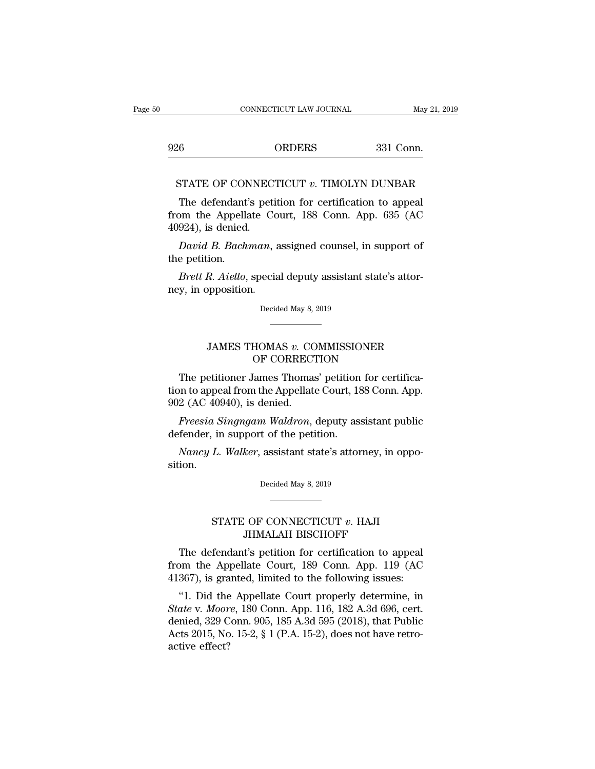<sup>926</sup> ORDERS 331 Conn. CONNECTICUT LAW JOURNAL May 21, 2019<br>26 ORDERS 331 Conn.<br>STATE OF CONNECTICUT *v*. TIMOLYN DUNBAR<br>The defendant's petition for certification to appeal

 $\begin{array}{ll} \text{6} & \text{ORDERS} & \text{331 Conn.} \ \text{STATE OF CONNECTICUT } v. \text{ TIMOLYN DUNBAR} \ \text{The defendant's pettion for certification to appeal} \text{om the Appellate Court, 188 Conn. App. 635 (AC 024) is denied.} \end{array}$ 926 ORDERS 331 Conn.<br>
STATE OF CONNECTICUT v. TIMOLYN DUNBAR<br>
The defendant's petition for certification to appeal<br>
from the Appellate Court, 188 Conn. App. 635 (AC<br>
40924), is denied. 926<br>
STATE OF CONNEC<br>
The defendant's pet<br>
from the Appellate C<br>
40924), is denied.<br>
David B. Bachman, FIATE OF CONNECTICUT  $v$ . TIMOLYN DUNBAR<br>The defendant's petition for certification to appeal<br>pm the Appellate Court, 188 Conn. App. 635 (AC<br>924), is denied.<br>*David B. Bachman*, assigned counsel, in support of<br>e petition. STATE OF CONNECTICUT  $v$ . TIMOLYN DUNBAR<br>The defendant's petition for certification to appeal<br>from the Appellate Court, 188 Conn. App. 635 (AC<br>40924), is denied.<br>David B. Bachman, assigned counsel, in support of<br>the petit The defendant's petition for certification to appeal<br>bm the Appellate Court, 188 Conn. App. 635 (AC<br>924), is denied.<br>*David B. Bachman*, assigned counsel, in support of<br>e petition.<br>*Brett R. Aiello*, special deputy assista from the Appellate Co<br>40924), is denied.<br>*David B. Bachman*, *a*<br>the petition.<br>*Brett R. Aiello*, specia<br>ney, in opposition.

Brett R. Aiello, special deputy assistant state's attor-<br>y, in opposition.<br>Decided May 8, 2019 R. Aiello, special deputy assistant state's attor-<br>pposition.<br>Decided May 8, 2019<br>JAMES THOMAS *v.* COMMISSIONER<br>OF CORRECTION

# Decided May 8, 2019<br>Decided May 8, 2019<br>HOMAS v. COMMISSIONER<br>OF CORRECTION<br>Cames Thomas' petition for certifi

Decided May 8, 2019<br>
THOMAS v. COMMISSIONER<br>
OF CORRECTION<br>
The petitioner James Thomas' petition for certifica-<br>
on to appeal from the Appellate Court, 188 Conn. App.<br>
2 (AC 40940) is donied JAMES THOMAS v. COMMISSIONER<br>
OF CORRECTION<br>
The petitioner James Thomas' petition for certifica-<br>
tion to appeal from the Appellate Court, 188 Conn. App.<br>
902 (AC 40940), is denied. JAMES THOMAS v. CO<br>OF CORRECT<br>The petitioner James Thomas<br>tion to appeal from the Appellat<br>902 (AC 40940), is denied.<br>Freesia Singngam Waldron, JAMES THOMAS v. COMMISSIONER<br>
OF CORRECTION<br>
The petitioner James Thomas' petition for certifica-<br>
in to appeal from the Appellate Court, 188 Conn. App.<br>
2 (AC 40940), is denied.<br> *Freesia Singngam Waldron*, deputy assista OF CORRECTION<br>The petitioner James Thomas' petition<br>tion to appeal from the Appellate Court, 18<br>902 (AC 40940), is denied.<br>Freesia Singngam Waldron, deputy as:<br>defender, in support of the petition.<br>Nancy L. Walker, assista The petitioner James Thomas' petition for certification to appeal from the Appellate Court, 188 Conn. App. 2 (AC 40940), is denied.<br>2 (AC 40940), is denied.<br>*Freesia Singngam Waldron*, deputy assistant public fender, in su

Freesia Singngam Waldron, deputy assistant public<br>defender, in support of the petition.<br>Nancy L. Walker, assistant state's attorney, in opposition.<br>Decided May 8, 2019

sition.  $\begin{tabular}{c} L. \textit{Walker}, \textit{assignment state's attorney, in opp} \\ \hline \end{tabular}$   $\begin{tabular}{c} \multicolumn{2}{c}{\textbf{STATE OF CONNECTICUT $v$. HAJI} } \\ \multicolumn{2}{c}{\textbf{STATE OF CONNECTICUT $v. HAJI} } \\ \multicolumn{2}{c}{\textbf{JHMALAH BISCHOFF}} \end{tabular}$ 

# Mer, assistant state's attorney, in opposited May 8, 2019<br>Decided May 8, 2019<br>JHMALAH BISCHOFF<br>T's petition for certification to app

Decided May 8, 2019<br>
The defendant's petition for certification to appeal<br>
The defendant's petition for certification to appeal<br>
The defendant's petition for certification to appeal<br>
The Appellate Court, 189 Conn. App. 119 From the Appellate Court, 189 Conn. App. 119 (AC<br>41367), is granted, limited to the following issues: STATE OF CONNECTICUT  $v$ . HAJI<br>JHMALAH BISCHOFF<br>The defendant's petition for certification to appeal<br>from the Appellate Court, 189 Conn. App. 119 (AC<br>41367), is granted, limited to the following issues:<br>"1. Did the Appella STATE OF CONNECTICUT  $v$ . HAJI<br>JHMALAH BISCHOFF<br>The defendant's petition for certification to appeal<br>pm the Appellate Court, 189 Conn. App. 119 (AC<br>367), is granted, limited to the following issues:<br>"1. Did the Appellate

*SHMALAH BISCHOFF*<br> *State of the Appellate Court, 189 Conn. App. 119 (AC*<br> *A1367), is granted, limited to the following issues:*<br> *State v. Moore, 180 Conn. App. 116, 182 A.3d 696, cert.*<br> *State v. Moore, 180 Conn. App.* The defendant's petition for certification to appeal<br>from the Appellate Court, 189 Conn. App. 119 (AC<br>41367), is granted, limited to the following issues:<br>"1. Did the Appellate Court properly determine, in<br>*State v. Moore* The defendant s petition for definited from the Appellate Court, 189 Conn. App. 119 (AC 41367), is granted, limited to the following issues:<br>"1. Did the Appellate Court properly determine, in *State v. Moore*, 180 Conn. Ap From the App<br>41367), is gra<br>"1. Did the<br>*State* v. *Moor*<br>denied, 329 C<br>Acts 2015, No<br>active effect?